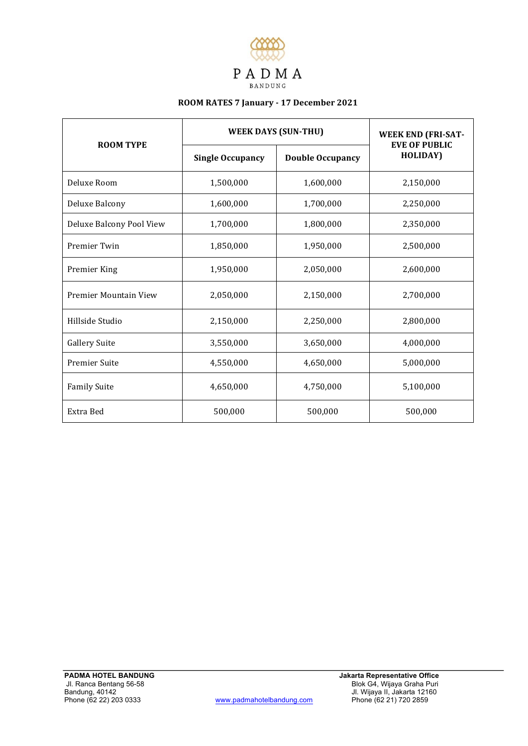

# **ROOM RATES 7 January - 17 December 2021**

| <b>ROOM TYPE</b>         | <b>WEEK DAYS (SUN-THU)</b> |                         | <b>WEEK END (FRI-SAT-</b>                |
|--------------------------|----------------------------|-------------------------|------------------------------------------|
|                          | <b>Single Occupancy</b>    | <b>Double Occupancy</b> | <b>EVE OF PUBLIC</b><br><b>HOLIDAY</b> ) |
| Deluxe Room              | 1,500,000                  | 1,600,000               | 2,150,000                                |
| Deluxe Balcony           | 1,600,000                  | 1,700,000               | 2,250,000                                |
| Deluxe Balcony Pool View | 1,700,000                  | 1,800,000               | 2,350,000                                |
| Premier Twin             | 1,850,000                  | 1,950,000               | 2,500,000                                |
| Premier King             | 1,950,000                  | 2,050,000               | 2,600,000                                |
| Premier Mountain View    | 2,050,000                  | 2,150,000               | 2,700,000                                |
| Hillside Studio          | 2,150,000                  | 2,250,000               | 2,800,000                                |
| <b>Gallery Suite</b>     | 3,550,000                  | 3,650,000               | 4,000,000                                |
| <b>Premier Suite</b>     | 4,550,000                  | 4,650,000               | 5,000,000                                |
| <b>Family Suite</b>      | 4,650,000                  | 4,750,000               | 5,100,000                                |
| Extra Bed                | 500,000                    | 500,000                 | 500,000                                  |

**Jakarta Representative Office**  Blok G4, Wijaya Graha Puri Jl. Wijaya II, Jakarta 12160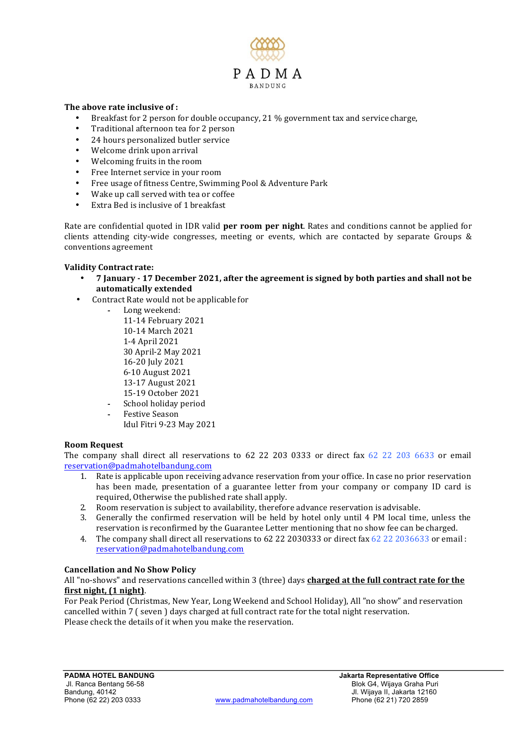

## The above rate inclusive of :

- Breakfast for 2 person for double occupancy, 21  $\%$  government tax and service charge,
- Traditional afternoon tea for 2 person
- 24 hours personalized butler service
- Welcome drink upon arrival
- Welcoming fruits in the room
- Free Internet service in your room
- Free usage of fitness Centre, Swimming Pool & Adventure Park
- Wake up call served with tea or coffee
- Extra Bed is inclusive of 1 breakfast

Rate are confidential quoted in IDR valid **per room per night**. Rates and conditions cannot be applied for clients attending city-wide congresses, meeting or events, which are contacted by separate Groups  $\&$ conventions agreement

## **Validity Contract rate:**

- 7 January 17 December 2021, after the agreement is signed by both parties and shall not be **automatically extended**
- Contract Rate would not be applicable for
	- Long weekend:
		- 11-14 February 2021 10-14 March 2021 1-4 April 2021 30 April-2 May 2021 16-20 July 2021 6-10 August 2021 13-17 August 2021 15-19 October 2021 - School holiday period
		- Festive Season Idul Fitri 9-23 May 2021

## **Room Request**

The company shall direct all reservations to  $62$  22 203 0333 or direct fax  $62$  22 203 6633 or email reservation@padmahotelbandung.com

- 1. Rate is applicable upon receiving advance reservation from your office. In case no prior reservation has been made, presentation of a guarantee letter from your company or company ID card is required, Otherwise the published rate shall apply.
- 2. Room reservation is subject to availability, therefore advance reservation is advisable.
- 3. Generally the confirmed reservation will be held by hotel only until 4 PM local time, unless the reservation is reconfirmed by the Guarantee Letter mentioning that no show fee can be charged.
- 4. The company shall direct all reservations to  $62$  22 2030333 or direct fax  $62$  22 2036633 or email : reservation@padmahotelbandung.com

## **Cancellation and No Show Policy**

All "no-shows" and reservations cancelled within 3 (three) days **charged at the full contract rate for the** first night,  $(1 \text{ night})$ .

For Peak Period (Christmas, New Year, Long Weekend and School Holiday), All "no show" and reservation cancelled within 7 ( seven ) days charged at full contract rate for the total night reservation. Please check the details of it when you make the reservation.